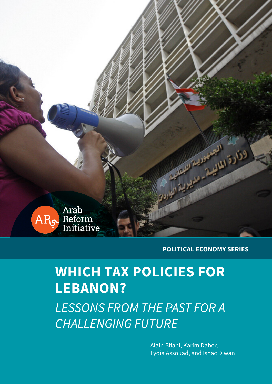

#### **POLITICAL ECONOMY SERIES**

# **WHICH TAX POLICIES FOR LEBANON?**

*LESSONS FROM THE PAST FOR A CHALLENGING FUTURE*

> Alain Bifani, Karim Daher, Lydia Assouad, and Ishac Diwan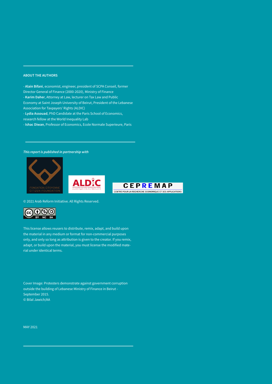#### **ABOUT THE AUTHORS**

- **Alain Bifani**, economist, engineer, president of SCPA Conseil, former Director General of Finance (2000-2020), Ministry of Finance - **Karim Daher**, Attorney at Law, lecturer on Tax Law and Public

Economy at Saint Joseph University of Beirut, President of the Lebanese Association for Taxpayers' Rights (ALDIC)

- **Lydia Assouad**, PhD Candidate at the Paris School of Economics, research fellow at the World Inequality Lab

- **Ishac Diwan**, Professor of Economics, Ecole Normale Superieure, Paris

#### *This report is published in partnership with*



© 2021 Arab Reform Initiative. All Rights Reserved.



This license allows reusers to distribute, remix, adapt, and build upon the material in any medium or format for non-commercial purposes only, and only so long as attribution is given to the creator. If you remix, adapt, or build upon the material, you must license the modified material under identical terms.

Cover Image: Protesters demonstrate against government corruption outside the building of Lebanese Ministry of Finance in Beirut - September 2015. © Bilal Jawich/AA

MAY 2021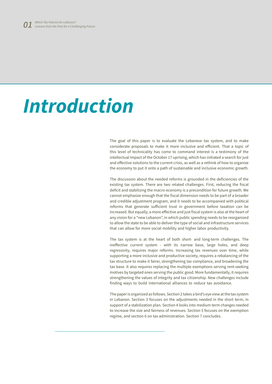# *Introduction*

The goal of this paper is to evaluate the Lebanese tax system, and to make considerate proposals to make it more inclusive and efficient. That a topic of this level of technicality has come to command interest is a testimony of the intellectual impact of the October 17 uprising, which has initiated a search for just and effective solutions to the current crisis, as well as a rethink of how to organize the economy to put it onto a path of sustainable and inclusive economic growth.

The discussion about the needed reforms is grounded in the deficiencies of the existing tax system. There are two related challenges. First, reducing the fiscal deficit and stabilizing the macro-economy is a precondition for future growth. We cannot emphasize enough that the fiscal dimension needs to be part of a broader and credible adjustment program, and it needs to be accompanied with political reforms that generate sufficient trust in government before taxation can be increased. But equally, a more effective and just fiscal system is also at the heart of any vision for a "new Lebanon", in which public spending needs to be reorganized to allow the state to be able to deliver the type of social and infrastructure services that can allow for more social mobility and higher labor productivity.

The tax system is at the heart of both short- and long-term challenges. The ineffective current system - with its narrow base, large holes, and deep regressivity, requires major reforms. Increasing tax revenues over time, while supporting a more inclusive and productive society, requires a rebalancing of the tax structure to make it fairer, strengthening tax compliance, and broadening the tax base. It also requires replacing the multiple exemptions serving rent-seeking motives by targeted ones serving the public good. More fundamentally, it requires strengthening the values of integrity and tax citizenship. New challenges include finding ways to build international alliances to reduce tax avoidance.

The paper is organized as follows. Section 2 takes a bird's eye view at the tax system in Lebanon. Section 3 focuses on the adjustments needed in the short term, in support of a stabilization plan. Section 4 looks into medium term changes needed to increase the size and fairness of revenues. Section 5 focuses on the exemption regime, and section 6 on tax administration. Section 7 concludes.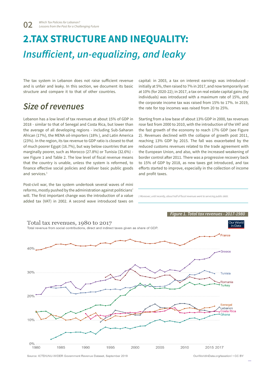## **2.TAX STRUCTURE AND INEQUALITY:** *Insufficient, un-equalizing, and leaky*

The tax system in Lebanon does not raise sufficient revenue and is unfair and leaky. In this section, we document its basic structure and compare it to that of other countries.

#### *Size of revenues*

Lebanon has a low level of tax revenues at about 15% of GDP in 2018 - similar to that of Senegal and Costa Rica, but lower than the average of all developing regions - including Sub-Saharan African (17%), the MENA oil-importers (18% ), and Latin America (23%). In the region, its tax revenue to GDP ratio is closest to that of much poorer Egypt (16.7%), but way below countries that are marginally poorer, such as Morocco (27.8%) or Tunisia (32.6%) see Figure 1 and Table 2. The low level of fiscal revenue means that the country is unable, unless the system is reformed, to finance effective social policies and deliver basic public goods and services.<sup>1</sup>

Post-civil war, the tax system undertook several waves of mini reforms, mostly pushed by the administration against politicians' will. The first important change was the introduction of a value added tax (VAT) in 2002. A second wave introduced taxes on

capital: in 2003, a tax on interest earnings was introduced initially at 5%, then raised to 7% in 2017, and now temporarily set at 10% (for 2020-22); in 2017, a tax on real estate capital gains (by individuals) was introduced with a maximum rate of 15%, and the corporate income tax was raised from 15% to 17%. In 2019, the rate for top incomes was raised from 20 to 25%.

Starting from a low base of about 13% GDP in 2000, tax revenues rose fast from 2000 to 2010, with the introduction of the VAT and the fast growth of the economy to reach 17% GDP (see Figure 2). Revenues declined with the collapse of growth post 2011, reaching 13% GDP by 2015. The fall was exacerbated by the reduced customs revenues related to the trade agreement with the European Union, and also, with the increased weakening of border control after 2011. There was a progressive recovery back to 15% of GDP by 2018, as new taxes got introduced, and tax efforts started to improve, especially in the collection of income and profit taxes.

*Figure 1. Total tax revenues* Total tax revenues, 1980 to 2017 in Data Total revenue from social contributions, direct and indirect taxes given as share of GDP. 40% Greece  $30%$ Tunisia Romania **Turkey**  $20%$ Senegal Lebanon<br>Costa Rica Ghana  $0%$ 1980 1985 1990 1995 2000 2005 2010 2015 2017

Source: ICTD/UNU-WIDER Government Revenue Dataset, September 2019

OurWorldInData.org/taxation/ • CC BY

*1 Moreover, until recently, about half of fiscal revenues went to servicing public debt.*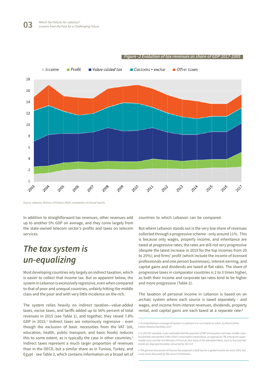



*Source: Lebanon, Ministry of Finance (MoF), compilation of annual reports*

In addition to straightforward tax revenues, other revenues add up to another 5% GDP on average, and they come largely from the state-owned telecom sector's profits and taxes on telecom services.

#### *The tax system is un-equalizing*

Most developing countries rely largely on indirect taxation, which is easier to collect that income tax. But as apparent below, the system in Lebanon is excessively regressive, even when compared to that of poor and unequal countries, unfairly hitting the middle class and the poor and with very little incidence on the rich.

The system relies heavily on indirect taxation—value-added taxes, excise taxes, and tariffs added up to 56% percent of total revenues in 2015 (see Table 1), and together, they raised 7.8% GDP in 2015.<sup>2</sup> Indirect taxes are notoriously regressive - even though the exclusion of basic necessities from the VAT (oil, education, health, public transport, and basic foods) reduces this to some extent, as is typically the case in other countries. $3$ Indirect taxes represent a much larger proportion of revenues than in the OECD, but a similar share as in Tunisia, Turkey, and Egypt - see Table 2, which contains information on a broad set of countries to which Lebanon can be compared.

But where Lebanon stands out is the very low share of revenues collected through a progressive scheme - only around 11%. This is because only wages, property income, and inheritance are taxed at progressive rates; the rates are still not very progressive (despite the latest increase in 2019 for the top incomes from 20 to 25%); and firms' profit (which include the income of licensed professionals and one person businesses), interest earning, and capital gains and dividends are taxed at flat rates. The share of progressive taxes in comparator countries is 2 to 3 times higher, as both their income and corporate tax rates tend to be higher and more progressive (Table 2).

The taxation of personal income in Lebanon is based on an archaic system where each source is taxed separately - and wages, and income from interest revenues, dividends, property rental, and capital gains are each taxed at a separate rate:<sup>4</sup>

*<sup>2</sup> A comprehensive coverage of taxation in Lebanon is in: Les Impots au Liban, by Karim Daher, Edition Antoine/Hachette, 2017.*

*<sup>3</sup> In 2013 for example, it was estimated that the payment of VAT among poor and lower middle-class households represented 3.9% of their consumption expenditure, as opposed to 7% among the upper middle class and the rich (Ministry of Finance). But many of the exempted items, such as fuel and real estate are disproportionately consumed by the rich.*

*<sup>4</sup> The general directorate of Finance has prepared a draft law for a global income tax since 2004, but it was never discussed by the council of ministers.*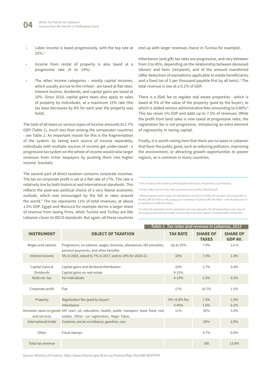

- Labor income is taxed progressively, with the top rate at 25%.5
- Income from rental of property is also taxed at a progressive rate (4 to 14%).
- The other income categories mostly capital incomes, which usually accrue to the richest - are taxed at flat rates. Interest income, dividends, and capital gains are taxed at 10%. Since 2018, capital gains taxes also apply to sales of property by individuals, at a maximum 15% rate (the tax base decreases by 8% for each year the property was held).

The total of all taxes on various types of income amounts to 2.7% GDP (Table 1), much less than among the comparator countries - see Table 2. An important reason for this is the fragmentation of the system: by taxing each source of income separately, individuals with multiple sources of income get under-taxed - a progressive tax system on the whole of income would raise larger revenues from richer taxpayers by pushing them into higher income brackets.

The second part of direct taxation concerns corporate incomes. The tax on corporate profit is set at a flat rate of 17%. The rate is relatively low by both historical and international standards. This reflects the post-war political choice of a very liberal economic outlook, which was encouraged by the fall in rates around the world.<sup>6</sup> The tax represents 11% of total revenues, at about 1.5% GDP. Egypt and Morocco for example derive a larger share of revenue from taxing firms, while Tunisia and Turkey are like Lebanon closer to OECD standards. But again, all these countries

end up with larger revenues (twice in Tunisia for example).

Inheritance (and gift) tax rates are progressive, and vary between from 3 to 45%, depending on the relationship between deceased (donor) and heirs (recipient), and of the amount transferred (after deduction of exemptions applicable to estate beneficiaries and a fixed tax of 5 per thousand payable first by all heirs).<sup>7</sup> The total revenue is low at a 0.2% of GDP.

There is a (flat) fee to register real estate properties - which is taxed at 5% of the value of the property (paid by the buyer), to which is added various administrative fees amounting to 0.80%.<sup>8</sup> This tax raises 1% GDP and adds up to 7.5% of revenues. While the profit from land sales is now taxed at progressive rates, the registration fee is not progressive, introducing an extra element of regressivity in taxing capital.

Finally, it is worth noting here that there are no taxes in Lebanon that favor the public good, such as reducing pollution, improving the environment, or attracting growth opportunities to poorer regions, as is common in many countries.

*5 This includes profits made by self-employed individuals, and partners in partnerships.*

*6 Torslov, Wier, Zucman 2020. http://gabrielzucman.eu/files/TWZ2020.pdf).*

*7 Where property and/or assets are inherited by a son from his father, for example, the tax payable on the first LBP 30 million is 3%, going up to a maximum of 12% at LBP 200 million - with the deduction of an allowance of LBP120 million).* 

*8 In 2018, the registration fee for residential units was reduced to 2%-3% (depending on the value of the property) provided the transfer of ownership in the land register is finalized before 30/06/2021.* 

|                                     | Table 1. Tax rates and revenue in Lebanon, 2015                                                                                                 |                                |                                 |                                   |  |  |
|-------------------------------------|-------------------------------------------------------------------------------------------------------------------------------------------------|--------------------------------|---------------------------------|-----------------------------------|--|--|
| <b>INSTRUMENT</b>                   | <b>OBJECT OF TAXATION</b>                                                                                                                       | <b>TAX RATE</b>                | <b>SHARE OF</b><br><b>TAXES</b> | <b>SHARE OF</b><br><b>GDP AV.</b> |  |  |
| Wages and salaries                  | Progressive, on salaries, wages, bonuses, allowances, life annuities,<br>pension payments, and other benefits                                   | Up to 25%                      | $7.0\%$                         | 1.0%                              |  |  |
| Interest income                     | 5% in 2003, raised to 7% in 2017, and to 10% for 2020-22.                                                                                       | 10%                            | 7.4%                            | 1.0%                              |  |  |
| Capital Gains &<br><b>Dividends</b> | Capital gains and dividend distribution<br>Capital gains on real estate                                                                         | 10%<br>$0 - 15%$               | 2.7%                            | $0.4\%$                           |  |  |
| Built-rev. tax                      | For individuals                                                                                                                                 | $4 - 14%$                      | 2.3%                            | 0.3%                              |  |  |
| Corporate profit                    | Flat                                                                                                                                            | 17%                            | 10.7%                           | 1.5%                              |  |  |
| Property                            | Registration fee (paid by buyer)<br>Inheritance                                                                                                 | $5\% + 0.8\%$ fee<br>$3 - 45%$ | 7.5%<br>1.6%                    | 1.0%<br>$0.2\%$                   |  |  |
| and services                        | Domestic taxes on goods VAT (excl. oil, education, health, public transport, basic food, real<br>estate). Other: car registration, Regie Tabac. | 11%                            | 36%                             | 5.0%                              |  |  |
| International trade                 | Customs, excise on tobacco, gasoline, cars                                                                                                      |                                | 20%                             | 2.8%                              |  |  |
| Other                               | Fiscal stamps                                                                                                                                   |                                | 4.7%                            | 0.6%                              |  |  |
| Total tax revenue                   |                                                                                                                                                 |                                | 100                             | 13.8%                             |  |  |

*Source: Ministry of Finance. http://www.finance.gov.lb/en-us/Finance/Rep-Pub/DRI-MOF/PFR*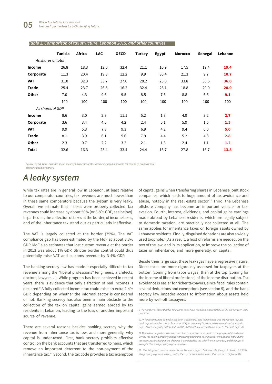|                    | Tunisia | Africa | <b>LAC</b> | <b>OECD</b> | <b>Turkey</b> | Egypt | <b>Morocco</b> | Senegal | Lebanon          |
|--------------------|---------|--------|------------|-------------|---------------|-------|----------------|---------|------------------|
| As shares of total |         |        |            |             |               |       |                |         |                  |
| Income             | 26.8    | 18.3   | 12.0       | 32.4        | 21.1          | 10.9  | 17.5           | 19.4    | 19.4             |
| Corporate          | 11.3    | 20.4   | 19.3       | 12.2        | 9.9           | 30.4  | 21.3           | 9.7     | 10.7             |
| <b>VAT</b>         | 31.0    | 32.3   | 33.7       | 27.0        | 28.2          | 25.0  | 33.8           | 36.6    | 36.0             |
| <b>Trade</b>       | 25.4    | 23.7   | 26.5       | 16.2        | 32.4          | 26.1  | 18.8           | 29.0    | 20.0             |
| Other              | 7.0     | 4.3    | 9.6        | 9.5         | 8.5           | 7.6   | 8.8            | 6.5     | 9.1              |
|                    | 100     | 100    | 100        | 100         | 100           | 100   | 100            | 100     | 100              |
| As shares of GDP   |         |        |            |             |               |       |                |         |                  |
| Income             | 8.6     | 3.0    | 2.8        | 11.1        | 5.2           | 1.8   | 4.9            | 3.2     | 2.7              |
| Corporate          | 3.6     | 3.4    | 4.5        | 4.2         | 2.4           | 5.1   | 5.9            | 1.6     | 1.5              |
| <b>VAT</b>         | 9.9     | 5.3    | 7.8        | 9.3         | 6.9           | 4.2   | 9.4            | 6.0     | 5.0              |
| <b>Trade</b>       | 8.1     | 3.9    | 6.1        | 5.6         | 7.9           | 4.4   | 5.2            | 4.8     | 2.8              |
| Other              | 2.3     | 0.7    | 2.2        | 3.2         | 2.1           | 1.3   | 2.4            | 1.1     | 1.2 <sub>2</sub> |
| <b>Total</b>       | 32.6    | 16.3   | 23.4       | 33.4        | 24.4          | 16.7  | 27.8           | 16.7    | 13.8             |

#### *Table 2. Comparison of tax structure, Lebanon 2015, and other countries*

 *Source: OECD. Note: excludes social security payments; rental income included in income tax category, property sale* 

*taxes included in "Other".*

### *A leaky system*

While tax rates are in general low in Lebanon, at least relative to our comparator countries, tax revenues are much lower than in these same comparators because the system is very leaky. Overall, we estimate that if taxes were properly collected, tax revenues could increase by about 50% (or 6-8% GDP, see below). In particular, the collection of taxes at the border, of income taxes, and of the inheritance tax stand out as particularly ineffective.

The VAT is largely collected at the border (75%). The VAT compliance gap has been estimated by the MoF at about 3.3% GDP. MoF also estimates that lost custom revenue at the border in 2013 was about 1% GDP. Stricter border control could thus potentially raise VAT and customs revenue by 3-4% GDP.

The banking secrecy law has made it especially difficult to tax revenue among the "liberal professions" (engineers, architects, doctors, lawyers…). While progress has been achieved in recent years, there is evidence that only a fraction of real incomes is declared.9 A fully collected income tax could raise an extra 2-4% GDP, depending on whether the informal sector is considered or not. Banking secrecy has also been a main obstacle to the collection of the tax on capital gains earned abroad by tax residents in Lebanon, leading to the loss of another important source of revenue.

There are several reasons besides banking secrecy why the revenue from inheritance tax is low, and more generally, why capital is under-taxed. First, bank secrecy prohibits effective control on the bank accounts that are transferred to heirs, which remove an important deterrent to the non-payment of the inheritance tax.10 Second, the tax code provides a tax exemption

of capital gains when transferring shares in Lebanese joint stock companies, which leads to huge amount of tax avoidance and abuse, notably in the real estate sector. $11$  Third, the Lebanese offshore company has become an important vehicle for taxevasion. Fourth, interest, dividends, and capital gains earnings made abroad by Lebanese residents, which are legally subject to domestic taxation, are practically not collected at all. The same applies for inheritance taxes on foreign assets owned by Lebanese residents. Finally, disguised donations are also a widely used loophole.12 As a result, a host of reforms are needed, on the text of the law, and in its application, to improve the collection of taxes on inheritance, and more generally, on capital.

Beside their large size, these leakages have a regressive nature. Direct taxes are more rigorously assessed for taxpayers at the bottom (coming from labor wages) than at the top (coming for the income of liberal professions) of the income distribution. Tax avoidance is easier for richer taxpayers, since fiscal rules contain several deductions and exemptions (see section 5), and the bank secrecy law impedes access to information about assets held more by well-off taxpayers.

*9 The number of those that file for income taxes have risen from about 60,000 to 426,000 between 2000 and 2020.*

*10 An important share of wealth has been traditionally held in bank accounts in Lebanon. In 2019, bank deposits reached about four times GDP, an extremely high ration by international standards. Deposits are unequally distributed: in 2019, 0.87% of bank accounts made-up 51.8% of all deposits.*

*11 The sale of property under the cover of an assignment of shares in a company established as an SPV for the holding property allows transferring ownership to relatives or third parties without any tax exposure: the assignment of shares is exempted for the seller from income tax, and the buyer is exempted from the property registration fees.*

*12 The "disguise" can take several forms. For example, in a fictitious sale, the applicable tax is 5.75% (the property registration fees), saving the cost of the inheritance tax that can be as high as 45%.*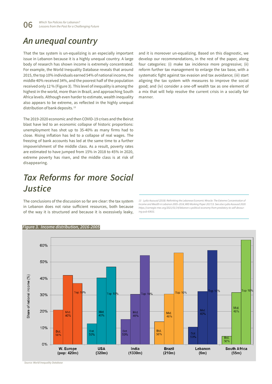#### *An unequal country*

That the tax system is un-equalizing is an especially important issue in Lebanon because it is a highly unequal country. A large body of research has shown income is extremely concentrated. For example, the World Inequality Database reveals that around 2015, the top 10% individuals earned 54% of national income, the middle 40% received 34%, and the poorest half of the population received only 12 % (Figure 3). This level of inequality is among the highest in the world, more than in Brazil, and approaching South Africa levels. Although even harder to estimate, wealth inequality also appears to be extreme, as reflected in the highly unequal distribution of bank deposits.<sup>13</sup>

The 2019-2020 economic and then COVID-19 crises and the Beirut blast have led to an economic collapse of historic proportions: unemployment has shot up to 35-40% as many firms had to close. Rising inflation has led to a collapse of real wages. The freezing of bank accounts has led at the same time to a further impoverishment of the middle class. As a result, poverty rates are estimated to have jumped from 15% in 2018 to 45% in 2020, extreme poverty has risen, and the middle class is at risk of disappearing.

### *Tax Reforms for more Social Justice*

The conclusions of the discussion so far are clear: the tax system in Lebanon does not raise sufficient resources, both because of the way it is structured and because it is excessively leaky, and it is moreover un-equalizing. Based on this diagnostic, we develop our recommendations, in the rest of the paper, along four categories: (i) make tax incidence more progressive; (ii) reform further tax management to enlarge the tax base, with a systematic fight against tax evasion and tax avoidance; (iii) start aligning the tax system with measures to improve the social good; and (iv) consider a one-off wealth tax as one element of a mix that will help resolve the current crisis in a socially fair manner.

*13 Lydia Assouad (2018): Rethinking the Lebanese Economic Miracle: The Extreme Concentration of Income and Wealth in Lebanon 2005–2014; WID Working Paper 201713. See also Lydia Assouad 2020: https://carnegie-mec.org/2021/01/14/lebanon-s-political-economy-from-predatory-to-self-devouring-pub-83631.*



#### *Figure 3. Income distribution, 2016-2005*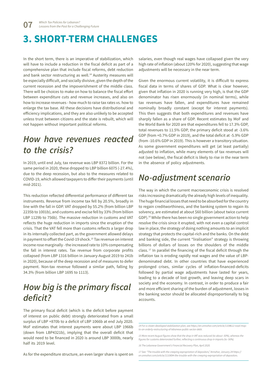## **3. SHORT-TERM CHALLENGES**

In the short term, there is an imperative of stabilization, which will have to include a reduction in the fiscal deficit as part of a comprehensive plan that include fiscal reforms, debt reduction and bank sector restructuring as well.<sup>14</sup> Austerity measures will be especially difficult, and socially divisive, given the depth of the current recession and the impoverishment of the middle class. There will be choices to make on how to balance the fiscal effort between expenditure cuts and revenue increases, and also on how to increase revenues - how much to raise tax rates vs. how to enlarge the tax base. All these decisions have distributional and efficiency implications, and they are also unlikely to be accepted unless trust between citizens and the state is rebuilt, which will not happen without important political reforms.

#### *How have revenues reacted to the crisis?*

In 2019, until end July, tax revenue was LBP 8372 billion. For the same period in 2020, these dropped to LBP billion 6075 (-27.4%), due to the deep recession, but also to the measures related to COVID-19, which allowed taxpayers to differ their payments (until mid-2021).

This reduction reflected differential performance of different tax instruments. Revenue from income tax fell by 20.5%, broadly in line with the fall in GDP. VAT dropped by 55.2% (from billion LBP 2235b to 1001b), and customs and excise fell by 33% (from billion LBP 1129b to 756b). The massive reduction in customs and VAT reflects the huge reduction in imports since the eruption of the crisis. That the VAT fell more than customs reflects a larger drop in its internally collected part, as the government allowed delays in payment to offset the Covid-19 shock.<sup>15</sup> Tax revenue on interest income rose marginally - the increased rate to 10% compensating the fall in interest rates. Tax revenue from corporate profits collapsed (from LBP 1316 billion in January-August 2019 to 241b in 2020), because of the deep recession and of measures to defer payment. Non-tax revenue followed a similar path, falling by 34.3% (from billion LBP 1695 to 1113).

#### *How big is the primary fiscal deficit?*

The primary fiscal deficit (which is the deficit before payment of interest on public debt) strongly deteriorated from a small surplus of LBP +870b to a deficit of LBP 1066b at end July 2020. MoF estimates that interest payments were about LBP 1966b (down from LBP4321b), implying that the overall deficit that would need to be financed in 2020 is around LBP 3000b, nearly half its 2019 level.

As for the expenditure structure, an even larger share is spent on

salaries, even though real wages have collapsed given the very high rate of inflation (about 120% for 2020), suggesting that wage adjustments will be necessary in the near term.

Given the enormous current volatility, it is difficult to express fiscal data in terms of shares of GDP. What is clear however, given that inflation in 2020 is running very high, is that the GDP denominator has risen enormously (in nominal terms), while tax revenues have fallen, and expenditures have remained nominally broadly constant (except for interest payments). This then suggests that both expenditures and revenues have sharply fallen as a share of GDP. Recent estimates by MoF and the World Bank for 2020 are that expenditures fell to 17.3% GDP, total revenues to 11.5% GDP, the primary deficit stood at -3.6% GDP (from +0.7% GDP in 2019), and the total deficit at -5.9% GDP (from -10.6% GDP in 2019). This is however a transitory situation. As some government expenditures will get (at least partially) adjusted to inflation, while many elements of tax revenues will not (see below), the fiscal deficit is likely to rise in the near term in the absence of policy adjustments.

#### *No-adjustment scenario*

The way in which the current macroeconomic crisis is resolved risks increasing dramatically the already high levels of inequality. The huge financial losses that need to be absorbed for the country to regain creditworthiness, and the banking system to regain its solvency, are estimated at about \$60 billion (about twice current GDP).16 While there has been no single government action to help resolve the crisis since it erupted, with not even a capital control law in place, the strategy of doing nothing amounts to an implicit strategy that protects the capital-rich and the banks. On the debt and banking side, the current "liralisation" strategy is throwing billions of dollars of losses on the shoulders of the middle class. 17 In parallel the financing of the fiscal deficit through the inflation tax is eroding rapidly real wages and the value of LBPdenominated debt. In other countries that have experienced prolonged crises, similar cycles of inflation-financed-deficits followed by partial wage adjustments have lasted for years, leading to a decade of lost growth, and leaving deep scars in society and the economy. In contrast, in order to produce a fair and more efficient sharing of the burden of adjustment, losses in the banking sector should be allocated disproportionally to big accounts.

*<sup>14</sup> For a citizen developed stabilization plan, see https://en.annahar.com/article/1108612-road-mapto-an-orderly-restructuring-of-lebanese-public-sector-debt.*

*<sup>15</sup> More recent August figures show that the drop in VAT was reduced (to about -50%), whereas the figures for customs deteriorated further, reflecting a continuous drop in imports (to -56%).*

*<sup>16</sup> The Lebanese Government's Financial Recovery Plan, April 2020.*

*<sup>17</sup> See: "The trouble with the creeping expropriation of depositors," Annahar, January 24 https:// en.annahar.com/article/1110694-the-trouble-with-the-creeping-expropriation-of-depositors.*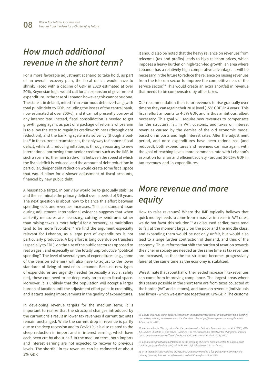#### *How much additional revenue in the short term?*

For a more favorable adjustment scenario to take hold, as part of an overall recovery plan, the fiscal deficit would have to shrink. Faced with a decline of GDP in 2020 estimated at over 20%, Keynesian logic would call for an expansion of government expenditure. In the case of Lebanon however, this cannot be done. The state is in default, mired in an enormous debt overhang (with total public debt to GDP, including the losses of the central bank, now estimated at over 300%), and it cannot presently borrow at any interest rate. Instead, fiscal consolidation is needed to get growth going again, as part of a package of reforms whose aim is to allow the state to regain its creditworthiness (through debt reduction), and the banking system its solvency (though a bailin).18 In the current circumstances, the only way to finance a fiscal deficit, while still reducing inflation, is through resorting to new international borrowing from senior creditors such as the IMF. In such a scenario, the main trade-off is between the speed at which the fiscal deficit is reduced, and the amount of debt reduction: in particular, deeper debt reduction would create some fiscal space that would allow for a slower adjustment of fiscal accounts, financed by new public debt.

A reasonable target, in our view would be to gradually stabilize and then eliminate the primary deficit over a period of 3-5 years. The next question is about how to balance this effort between spending cuts and revenues increases. This is a standard issue during adjustment. International evidence suggests that when austerity measures are necessary, cutting expenditures rather than raising taxes is more helpful for a recovery, as multipliers tend to be more favorable.<sup>19</sup> We find the argument especially relevant for Lebanon, as a large part of expenditures is not particularly productive. A big effort is long overdue on transfers (especially to EDL), on the size of the public sector (as opposed to real wages), and especially on the totally unproductive "political spending". The level of several types of expenditures (e.g., some of the pension schemes) will also have to adjust to the lower standards of living of post-crisis Lebanon. Because new types of expenditures are urgently needed (especially a social safety net), these cuts need to be deep early on to open fiscal space. Moreover, it is unlikely that the population will accept a larger burden of taxation until the adjustment effort gains in credibility, and it starts seeing improvements in the quality of expenditures.

In developing revenue targets for the medium term, it is important to realize that the structural changes introduced by the current crisis result in lower tax revenues if current tax rates remain unchanged. While the current drop in revenue is partly due to the deep recession and to Covid19, it is also related to the steep reduction in import and in interest earning, which have each been cut by about half. In the medium term, both imports and interest earning are not expected to recover to previous levels. The shortfall in tax revenues can be estimated at about 3% GDP.

It should also be noted that the heavy reliance on revenues from telecoms (tax and profits) leads to high telecom prices, which imposes a heavy burden on high-tech-led growth, an area where Lebanon has a relatively high comparative advantage. It will be necessary in the future to reduce the reliance on raising revenues from the telecom sector to improve the competitiveness of the service sector.<sup>20</sup> This would create an extra shortfall in revenue that needs to be compensated by other taxes.

Our recommendation then is for revenues to rise gradually over time so they can regain their 2018 level (15% GDP) in 4 years. This fiscal effort amounts to 4-5% GDP, and is thus ambitious, albeit necessary. This goal will require new revenues to compensate for the structural fall in VAT, customs, and taxes on interest revenues caused by the demise of the old economic model based on imports and high interest rates. After the adjustment period, and once expenditures have been rationalized (and reduced), both expenditures and revenues can rise again, with the goal of reaching levels more commensurate with Lebanon's aspiration for a fair and efficient society - around 20-25% GDP in tax revenues and in expenditures.

#### *More revenue and more equity*

How to raise revenues? Where the IMF typically believes that quick money needs to come from a massive increase in VAT rates, we do not favor this solution.<sup>21</sup> As discussed earlier, taxes tend to fall at the moment largely on the poor and the middle class, and expanding them would be not only unfair, but would also lead to a large further contraction of demand, and thus of the economy. Thus, reforms that shift the burden of taxation towards the richer in society are needed as the same time as tax revenues are increased, so that the tax structure becomes progressively fairer at the same time as the economy is stabilized.

We estimate that about half of the needed increase in tax revenues can come from improving compliance. The largest areas where this seems possible in the short term are from taxes collected at the border (VAT and customs), and taxes on revenue (individuals and firms) - which we estimate together at +2% GDP. The customs

*<sup>18</sup> Efforts to recover stolen public assets are an important component of an adjustment plan, but they are unlikely to bring much revenue in the short-term. See: https://www.lcps-lebanon.org/featured Article.php?id=322.*

*<sup>19</sup> Alesina, Alberto. "Fiscal policy after the great recession." Atlantic Economic Journal 40.4 (2012): 429- 435. Romer, Christina D., and David H. Romer. «The macroeconomic effects of tax changes: estimates based on a new measure of fiscal shocks.» American Economic Review 100.3 (2010).*

*<sup>20</sup> Equally, the privatization of telecom, or the pledging of income from the sector, to support debt servicing, as part of a debt deal, risk locking in high telecom costs in the future.* 

*<sup>21</sup> In its last (pre-crisis) Article IV in 2018, the Fund recommended a five-point improvement in the primary balance, financed mostly by a rise in the VAT rate (from 11 to 20%).*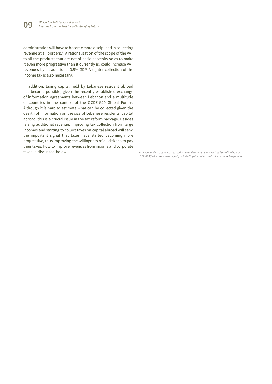administration will have to become more disciplined in collecting revenue at all borders.<sup>22</sup> A rationalization of the scope of the VAT to all the products that are not of basic necessity so as to make it even more progressive than it currently is, could increase VAT revenues by an additional 0.5% GDP. A tighter collection of the income tax is also necessary.

In addition, taxing capital held by Lebanese resident abroad has become possible, given the recently established exchange of information agreements between Lebanon and a multitude of countries in the context of the OCDE-G20 Global Forum. Although it is hard to estimate what can be collected given the dearth of information on the size of Lebanese residents' capital abroad, this is a crucial issue in the tax reform package. Besides raising additional revenue, improving tax collection from large incomes and starting to collect taxes on capital abroad will send the important signal that taxes have started becoming more progressive, thus improving the willingness of all citizens to pay their taxes. How to improve revenues from income and corporate taxes is discussed below. *22 Importantly, the currency rate used by tax and customs authorities is still the official rate of* 

*LBP1508/1\$ - this needs to be urgently adjusted together with a unification of the exchange rates.*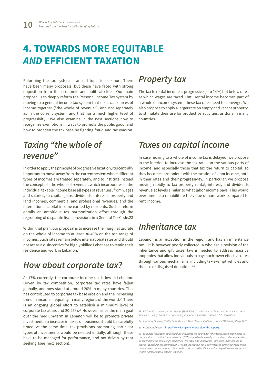## **4. TOWARDS MORE EQUITABLE**  *AND* **EFFICIENT TAXATION**

Reforming the tax system is an old topic in Lebanon. There have been many proposals, but these have faced with strong opposition from the economic and political elites. Our main proposal is to deeply reform the Personal Income Tax system by moving to a general income tax system that taxes *all* sources of income together ("the whole of revenue"), and not separately as in the current system, and that has a much higher level of progressivity. We also examine in the next sections how to reorganize exemptions in ways to promote the public good, and how to broaden the tax base by fighting fraud and tax evasion.

#### *Taxing "the whole of revenue"*

In order to apply the principle of progressive taxation, it is centrally important to move away from the current system where different types of incomes are treated separately, and to institute instead the concept of "the whole of revenue", which incorporates in the individual taxable income base all types of revenues, from wages and salaries, to capital gains, dividends, interests, property and land incomes, commercial and professional revenues, and the international capital income earned by residents. Such a reform entails an ambitious tax harmonization effort through the regrouping of disparate fiscal provisions in a General Tax Code.23

Within that plan, our proposal is to increase the marginal tax rate on the whole of income to at least 30-40% on the top range of incomes. Such rates remain below international rates and should not act as a disincentive for highly skilled Lebanese to retain their residence and work in Lebanon.

#### *How about corporate tax?*

At 17% currently, the corporate income tax is low in Lebanon. Driven by tax competition, corporate tax rates have fallen globally, and now stand at around 20% in many countries. This has contributed to corporate tax base erosion and the increasing trend in income inequality in many regions of the world.<sup>24</sup> There is an ongoing global effort to establish a minimum level of corporate tax at around 20-25%.25 However, since the main goal over the medium-term in Lebanon will be to promote private investment, an increase in taxes on business should be carefully timed. At the same time, tax provisions promoting particular types of investments would be needed initially, although these have to be managed for performance, and not driven by rent seeking (see next section).

#### *Property tax*

The tax to rental income is progressive (4 to 14%) but below rates at which wages are taxed. Until rental income becomes part of a whole of income system, these tax rates need to converge. We also propose to apply a larger rate on empty and vacant property, to stimulate their use for productive activities, as done in many countries.

#### *Taxes on capital income*

In case moving to a whole of income tax is delayed, we propose in the interim, to increase the tax rates on the various parts of income, and especially those that tax the return to capital, so they become harmonious with the taxation of labor income, both in their rates and their progressivity. In particular, we propose moving rapidly to tax property rental, interest, and dividends revenue at levels similar to what labor income pays. This would over time help rehabilitate the value of hard work compared to rent income.

#### *Inheritance tax*

Lebanon is an exception in the region, and has an inheritance tax. It is however poorly collected. A wholesale revision of the inheritance and gift taxes' law is needed to address massive loopholes that allow individuals to pay much lower effective rates through various mechanisms, including tax-exempt vehicles and the use of disguised donations.<sup>26</sup>

*23 Minister Corm unsuccessful attempt (1998-2000) to unify "income" for tax purposes is well documented in: George Corm, Lost opportunity in financial reforms in Lebanon, 2001 (in Arabic).*

*24 Alvaredo, Chancel, Piketty, Saez, Zucman, World Inequality Report, Harvard University Press, 2018*

*25 FACTI Panel Report (* [https://www.factipanel.org/explore-the-report\)](https://www.factipanel.org/explore-the-report).

*26 Lebanese legislation applies a dual criterion to the taxation of Inheritance. Without prejudice to the provisions of double taxation treaties (DTT), when the deceased (or donor) is a Lebanese resident, both her domestic and foreign properties – movable and immovable – are taxed. If neither the deceased (donor) nor the heir (recipient) resides in Lebanon, tax is only imposed on movable (securities*  and/or assets and/or amounts deposited in a local bank) and immovable properties (real estates and *related rights) estate located in Lebanon.*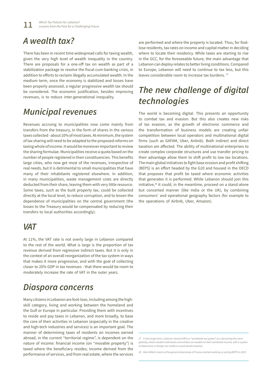#### *A wealth tax?*

There has been in recent time widespread calls for taxing wealth, given the very high level of wealth inequality in the country. There are proposals for a one-off tax on wealth as part of a stabilization package to resolve the fiscal-cum-banking crisis, in addition to efforts to reclaim illegally accumulated wealth. In the medium term, once the economy is stabilized and losses have been properly assessed, a regular progressive wealth tax should be considered. The economic justification, besides improving revenues, is to reduce inter-generational inequality.

#### *Municipal revenues*

Revenues accruing to municipalities now come mainly from transfers from the treasury, in the form of shares in the various taxes collected - about 10% of most taxes. At minimum, the system of tax sharing will need to be adapted to the proposed reforms on taxing whole of income. It would be moreover important to review the sharing formulae. Municipalities receive a quota based on the number of people registered in their constituencies. This benefits large cities, who now get most of the revenues, irrespective of real needs, but it is detrimental to small municipalities that have many of their inhabitants registered elsewhere. In addition, in many municipalities, waste management costs are directly deducted from their share, leaving them with very little resource. Some taxes, such as the built property tax, could be collected directly at the local level, to reduce corruption, and to lessen the dependence of municipalities on the central government (the losses to the Treasury would be compensated by reducing their transfers to local authorities accordingly).

#### *VAT*

At 11%, the VAT rate is not overly large in Lebanon compared to the rest of the world. What is large is the proportion of tax revenue derived from regressive indirect taxes. But it is only in the context of an overall reorganization of the tax system in ways that makes it more progressive, and with the goal of collecting closer to 20% GDP in tax revenues - that there would be room to moderately increase the rate of VAT in the outer years.

#### *Diaspora concerns*

Many citizens in Lebanon are foot-lose, including among the highskill category, living and working between the homeland and the Gulf or Europe in particular. Providing them with incentives to reside and pay taxes in Lebanon, and more broadly, to base the core of their activities in Lebanon (especially in the creative and high-tech industries and services) is an important goal. The manner of determining taxes of residents on incomes earned abroad, in the current "territorial regime", is dependent on the nature of income: financial income (on "movable property") is taxed where the beneficiary resides; income derived from the performance of services, and from real estate, where the services

are performed and where the property is located. Thus, for footlose residents, tax rates on income and capital matter in deciding where to locate their residency. While taxes are starting to rise in the GCC, for the foreseeable future, the main advantage that Lebanon can deploy relates to better living conditions. Compared to Europe, Lebanon will need to continue to tax less, but this leaves considerable room to increase tax burdens. 27

## *The new challenge of digital technologies*

The world is becoming digital. This presents an opportunity to combat tax and evasion. But this also creates new risks of tax evasion, as the growth of electronic commerce and the transformation of business models are creating unfair competition between local operators and multinational digital firms (such as GAFAM, Uber, Airbnb). Both indirect and direct taxation are affected. The ability of multinational enterprises to create complex corporate structures and use transfer pricing to their advantage allow them to shift profit to low tax locations. The main global initiatives to fight base erosion and profit shifting (BEPS) is an effort headed by the G20 and housed in the OECD that proposes that profit be taxed where economic activities that generates it is performed. While Lebanon should join this initiative,<sup>28</sup> it could, in the meantime, proceed on a stand-alone but concerted manner (like India or the UK), by combining consumers' and operational geography factors (for example to the operations of Airbnb, Uber, Amazon).

*28 Alain Bifani's team at the general directorate of Finance started working on joining BEPS in 2019.* 

*<sup>27</sup> In the longer term, Lebanon should shift to a "worldwide tax system", as is becoming the norm globally, where resident individuals and entities are taxable on their worldwide income, with a system of deductions or foreign tax credits to avoid double taxation.*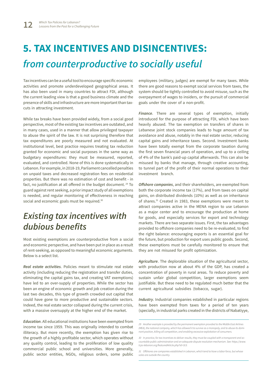# **5. TAX INCENTIVES AND DISINCENTIVES:**  *from counterproductive to socially useful*

Tax incentives can be a useful tool to encourage specific economic activities and promote underdeveloped geographical areas. It has also been used in many countries to attract FDI, although the current leading view is that a good business climate and the presence of skills and infrastructure are more important than taxcuts in attracting investment.

While tax breaks have been provided widely, from a social good perspective, most of the existing tax incentives are outdated, and in many cases, used in a manner that allow privileged taxpayer to abuse the spirit of the law. It is not surprising therefore that tax expenditures are poorly measured and not evaluated. At institutional level, best practice requires treating tax reduction granted for economic and social purposes in the same way as budgetary expenditures: they must be measured, reported, evaluated, and controlled. None of this is done systematically in Lebanon. For example, in 2018-19, Parliament cancelled penalties on unpaid taxes and decreased registration fees on residential properties. But there was no estimation of cost and benefit - in fact, no justification at all offered in the budget document. 29 To guard against rent seeking, a prior impact study of all exemptions is needed, and regular monitoring of effectiveness in reaching social and economic goals must be required.<sup>30</sup>

#### *Existing tax incentives with dubious benefits*

Most existing exemptions are counterproductive from a social and economic perspective, and have been put in place as a result of rent-seeking, as opposed to meaningful economic arguments. Below is a select list.

*Real estate activities*. Policies meant to stimulate real estate activity (including reducing the registration and transfer duties, eliminating the capital gains tax, and creating VAT exemptions) have led to an over-supply of properties. While the sector has been an engine of economic growth and job creation during the last two decades, this type of growth crowded out capital that could have gone to more productive and sustainable sectors. Indeed, the real estate sector collapsed during the current crisis, with a massive oversupply at the higher end of the market.

*Education*. All educational institutions have been exempted from income tax since 1959. This was originally intended to combat illiteracy. But more recently, the exemption has given rise to the growth of a highly profitable sector, which operates without any quality control, leading to the proliferation of low quality commercial public school and universities. More generally, public sector entities, NGOs, religious orders, some public employees (military, judges) are exempt for many taxes. While there are good reasons to exempt social services from taxes, the system should be tightly controlled to avoid misuse, such as the overpayment of wages to insiders, or the pursuit of commercial goals under the cover of a non-profit.

*Finance*. There are several types of exemption, initially introduced for the purpose of attracting FDI, which have been heavily abused. The tax exemption on transfers of shares in Lebanese joint stock companies leads to huge amount of tax avoidance and abuse, notably in the real estate sector, reducing capital gains and inheritance taxes. Second. Investment banks have been totally exempt from the corporate taxation during the first seven financial years of operation, and up to a ceiling of 4% of the bank's paid-up capital afterwards. This can also be misused by banks that manage, through creative accounting, to tunnel part of the profit of their normal operations to their investment branch.

*Offshore companies*, and their shareholders, are exempted from both the corporate income tax (17%), and from taxes on capital gains, on distributed dividends (10%) as well as on inheritance of shares.<sup>31</sup> Created in 1983, these exemptions were meant to attract companies active in the MENA region to use Lebanon as a major center and to encourage the production at home for goods, and especially services for export and technology markets. There are two separate issues. First, the tax advantages provided to offshore companies need to be re-evaluated, to find the right balance: encouraging exports is an essential goal for the future, but production for export uses public goods. Second, these exemptions must be carefully monitored to ensure that they are not misused for profit optimization.

*Agriculture*. The deplorable situation of the agricultural sector, with production now at about 4% of the GDP, has created a concentration of poverty in rural areas. To reduce poverty and sustain unfair global competition, larger exemptions seem justifiable. But these need to be regulated much better that the current agricultural subsidies (tobacco, sugar).

*Industry*. Industrial companies established in particular regions have been exempted from taxes for a period of ten years (specially, in industrial parks created in the districts of Nabatiyye,

*<sup>29</sup> Another example is provided by the permanent exemption provided to the Middle East Airlines (MEA), the national company, which has allowed it to survive as a monopoly, and to abuse its dominant position, killing all competition, and enabling excessive exploitation of consumers.* 

*<sup>30</sup> In practice, for tax incentives to deliver results, they must be coupled with a transparent and accountable public administration and an adequate dispute resolution mechanism. See: https://www. lcps-lebanon.org/featuredArticle.php?id=313.*

*<sup>31</sup> Offshores are companies established in Lebanon, which tend to have a labor force, but whose sales are outside the country.*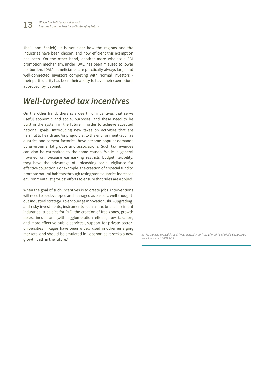Jbeil, and Zahleh). It is not clear how the regions and the industries have been chosen, and how efficient this exemption has been. On the other hand, another more wholesale FDI promotion mechanism, under IDAL, has been misused to lower tax burden. IDAL's beneficiaries are practically always large and well-connected investors competing with normal investors their particularity has been their ability to have their exemptions approved by cabinet.

#### *Well-targeted tax incentives*

On the other hand, there is a dearth of incentives that serve useful economic and social purposes, and these need to be built in the system in the future in order to achieve accepted national goals. Introducing new taxes on activities that are harmful to health and/or prejudicial to the environment (such as quarries and cement factories) have become popular demands by environmental groups and associations. Such tax revenues can also be earmarked to the same causes. While in general frowned on, because earmarking restricts budget flexibility, they have the advantage of unleashing social vigilance for effective collection. For example, the creation of a special fund to promote natural habitats through taxing stone quarries increases environmentalist groups' efforts to ensure that rules are applied.

When the goal of such incentives is to create jobs, interventions will need to be developed and managed as part of a well-thoughtout industrial strategy. To encourage innovation, skill-upgrading, and risky investments, instruments such as tax-breaks for infant industries, subsidies for R+D, the creation of free-zones, growth poles, incubators (with agglomeration effects, low taxation, and more effective public services), support for private sectoruniversities linkages have been widely used in other emerging markets, and should be emulated in Lebanon as it seeks a new growth path in the future.32

*32 For example, see Rodrik, Dani. "Industrial policy: don't ask why, ask how." Middle East Development Journal 1.01 (2009): 1-29.*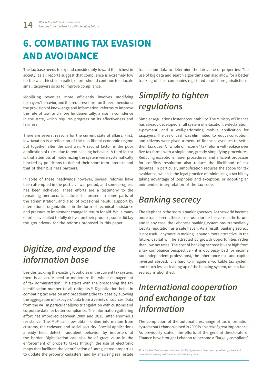## **6. COMBATING TAX EVASION AND AVOIDANCE**

The tax base needs to expand considerably toward the richest in society, as all reports suggest that compliance is extremely low for the wealthiest. In parallel, efforts should continue to educate small taxpayers so as to improve compliance.

Mobilizing revenues more efficiently involves modifying taxpayers' behavior, and this requires efforts on three dimensions: the provision of knowledge and information, reforms to improve the rule of law, and more fundamentally, a rise in confidence in the state, which requires progress on its effectiveness and fairness.

There are several reasons for the current state of affairs. First, low taxation is a reflection of the neo-liberal economic regime put together after the civil war. A second factor is the poor application of rules, due to rent-seeking behavior. A third factor is that attempts at modernizing the system were systematically blocked by politicians to defend their short-term interests and that of their business partners.

In spite of these headwinds however, several reforms have been attempted in the post-civil war period, and some progress has been achieved. These efforts are a testimony to the remaining meritocratic culture still present in some parts of the administration, and also, of occasional helpful support by international organizations in the form of technical assistance and pressure to implement change in return for aid. While many efforts have failed to fully deliver on their promise, some did lay the groundwork for the reforms proposed in this paper.

#### *Digitize, and expand the information base*

Besides tackling the existing loopholes in the current tax system, there is an acute need to modernize the whole management of tax administration. This starts with the broadening the tax identification number to all residents.<sup>33</sup> Digitalization helps in combating tax evasion and broadening the tax base by allowing the aggregation of taxpayers' data from a variety of sources. Data from the VAT in particular allows triangulation with customs and corporate data for better compliance. The information gathering effort has improved between 2009 and 2015, after enormous resistance. The MoF can now obtain online information from customs, the cadaster, and social security. Special applications already help detect fraudulent behavior by importers at the border. Digitalization can also be of great value in the enforcement of property taxes through the use of electronic maps that facilitate the identification of unregistered properties to update the property cadasters, and by analyzing real estate transaction data to determine the fair value of properties. The use of big data and search algorithms can also allow for a better tracking of shell companies registered in offshore jurisdictions.

#### *Simplify to tighten regulations*

Simpler regulations foster accountability. The Ministry of Finance has already developed a full system of e-taxation, e-declaration, e-payment, and a well-performing mobile application for taxpayers. The use of cash was eliminated, to reduce corruption, and citizens were given a menu of financial avenues to settle their tax dues. A "whole of income" tax reform will replace over five tax forms with a single one, greatly simplifying procedures. Reducing exceptions, fairer procedures, and efficient processes for conflicts resolution also reduce the likelihood of tax disputes. In particular, simplification reduces the scope for tax avoidance, which is the legal practice of minimizing a tax bill by taking advantage of loopholes and exception, or adopting an unintended interpretation of the tax code.

#### *Banking secrecy*

The elephant in the room is banking secrecy. As the world become more transparent, there is no room for tax heavens in the future, and in any case, the Lebanese banking system has irremediably lost its reputation as a safe haven. As a result, banking secrecy is not useful anymore in making Lebanon more attractive. In the future, capital will be attracted by growth opportunities rather than low tax rates. The cost of banking secrecy is very high from a tax compliance perspective - it is obviously bad for income tax (independent professions), the inheritance tax, and capital invested abroad. It is hard to imagine a workable tax system, and much less a cleaning up of the banking system, unless bank secrecy is abolished.

### *International cooperation and exchange of tax information*

The completion of the automatic exchange of tax information system that Lebanon joined in 2009 is an area of great importance. As previously stated, the efforts of the general directorate of Finance have brought Lebanon to become a "largely compliant"

*<sup>33</sup> A tax identification was introduced in 2004. Agreements have been signed with professional associations to bring their members into the tax system.*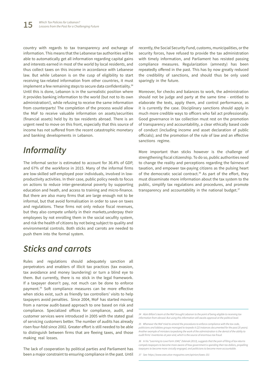country with regards to tax transparency and exchange of information. This means that the Lebanese tax authorities will be able to automatically get all information regarding capital gains and interests earned in most of the world by local residents, and thus collect taxes on this income in accordance with Lebanese law. But while Lebanon is on the cusp of eligibility to start receiving tax-related information from other countries, it must implement a few remaining steps to secure data confidentiality.<sup>34</sup> Until this is done, Lebanon is in the surrealistic position where it provides banking information to the world (but not to its own administration!), while refusing to receive the same information from counterparts! The completion of the process would allow the MoF to receive valuable information on assets/securities (financial assets) held by its tax residents abroad. There is an urgent need to move on this front, especially that this source of income has not suffered from the recent catastrophic monetary and banking developments in Lebanon.

#### *Informality*

The informal sector is estimated to account for 36.4% of GDP, and 67% of the workforce in 2015. Many of the informal firms are low-skilled self-employed poor individuals, involved in lowproductivity activities. In their case, public policy needs to focus on actions to reduce inter-generatonal poverty by supporting education and heath, and access to training and micro-finance. But there are also many firms that are large enough not to be informal, but that avoid formalisation in order to save on taxes and regulations. These firms not only reduce fiscal revenues, but they also compete unfairly in their markets,underpay their employees by not enrolling them in the social secufity system, and risk the health of citizens by not being subject to quality and environmental controls. Both sticks and carrots are needed to push them into the formal system.

#### *Sticks and carrots*

Rules and regulations should adequately sanction all perpetrators and enablers of illicit tax practices (tax evasion, tax avoidance and money laundering) or turn a blind eye to them. But currently, there is no stick in the legal framework. If a taxpayer doesn't pay, not much can be done to enforce payment.35 Soft compliance measures can be more effective when sticks exist, such as friendly tax controllers' visits to help taxpayers avoid penalties. Since 2004, MoF has started moving from a narrow audit-based approach to one based on risk and compliance. Specialized offices for compliance, audit, and customer services were introduced in 2005 with the stated goal of servicing customers better. The number of audits has already risen four-fold since 2002. Greater effort is still needed to be able to distinguish between firms that are fleeing taxes, and those making real losses.

The lack of cooperation by political parties and Parliament has been a major constraint to ensuring compliance in the past. Until

recently, the Social Security Fund, customs, municipalities, or the security forces, have refused to provide the tax administration with timely information, and Parliament has resisted passing compliance measures. Regularization (amnesty) has been repeatedly offered in the past. This has by now greatly reduced the credibility of sanctions, and should thus be only used sparingly in the future.

Moreover, for checks and balances to work, the administration should not be judge and party at the same time - entitled to elaborate the texts, apply them, and control performance, as it is currently the case. Disciplinary sanctions should apply in much more credible ways to officers who fail act professionally. Good governance in tax collection must rest on the promotion of transparency and accountability, a clear ethically based code of conduct (including income and asset declaration of public officials); and the promotion of the rule of law and an effective sanctions regime.

More important than sticks however is the challenge of strengthening fiscal citizenship. To do so, public authorities need to change the reality and perceptions regarding the fairness of taxation, and empower tax-paying citizens as the pulsing heart of the democratic social contract.<sup>36</sup> As part of the effort, they must disseminate more information about the tax system to the public, simplify tax regulations and procedures, and promote transparency and accountability in the national budget. $37$ 

*34 Alain Bifani's team at the MoF brought Lebanon to the point of being eligible to receiving tax information from abroad. But using this information still awaits approval at the political level.*

*35 Whenever the MoF tried to amend the procedures to enforce compliance with the tax code, politicians and lobbies groups managed to torpedo it (22 instances documented for the past 20 years). Another example of ministers torpedoing the work of the administration is the denial of the ability to audit firms' inventories at year-end, which is the source of enormous tax fraud.*

*36 In his "Learning to Love Form 1040," Zelenak (2013), suggests that the pain of filing of tax returns compels taxpayers to become more aware of how government is spending their tax dollars, propelling taxpayers to become more civically engaged, and politicians to become more accountable.*

*37 See: https://www.executive-magazine.com/opinion/taxes-101*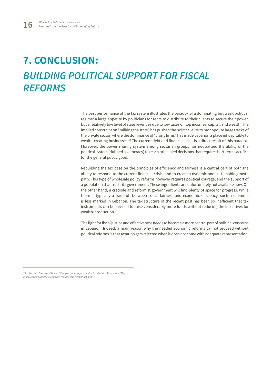# **7. CONCLUSION:**

## *BUILDING POLITICAL SUPPORT FOR FISCAL REFORMS*

The past performance of the tax system illustrates the paradox of a dominating but weak political regime: a large appetite by politicians for rents to distribute to their clients to secure their power, but a relatively low level of state revenues due to low taxes on top incomes, capital, and wealth. The implied constraint on "milking the state" has pushed the political elite to monopolize large tracks of the private sector, where the dominance of "crony firms" has made Lebanon a place inhospitable to wealth-creating businesses.38 The current debt and financial crisis is a direct result of this paradox. Moreover, the power sharing system among sectarian groups has neutralized the ability of the political system (dubbed a vetocracy) to reach principled decisions that require short-term sacrifice for the general public good.

Rebuilding the tax base on the principles of efficiency and fairness is a central part of both the ability to respond to the current financial crisis, and to create a dynamic and sustainable growth path. This type of wholesale policy reforms however requires political courage, and the support of a population that trusts its government. These ingredients are unfortunately not available now. On the other hand, a credible and reformist government will find plenty of space for progress. While there is typically a trade-off between social fairness and economic efficiency, such a dilemma is less marked in Lebanon. The tax structure of the recent past has been so inefficient that tax instruments can be devised to raise considerably more funds without reducing the incentives for wealth-production.

The fight for fiscal justice and effectiveness needs to become a more central part of political concerns in Lebanon. Indeed, a main reason why the needed economic reforms cannot proceed without political reforms is that taxation gets rejected when it does not come with adequate representation.

*38 See Ishac Diwan and Haidar "Cronyism reduces job creation in Lebanon," 18 January 2020, https://voxeu.org/article/cronyism-reduces-job-creation-lebanon.*